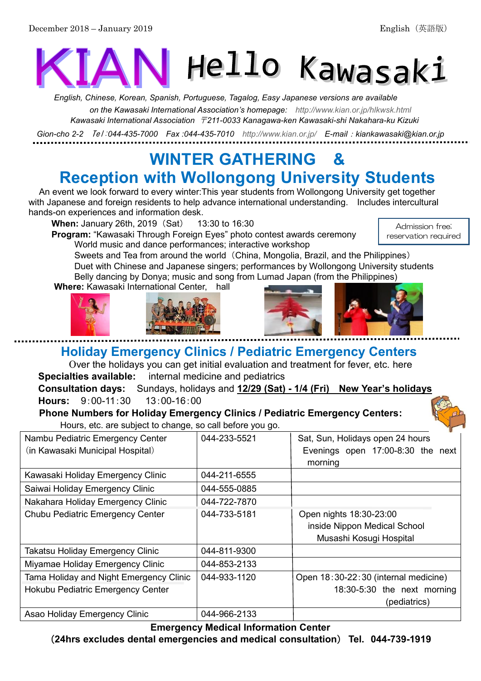# Hello Kawasaki

*English, Chinese, Korean, Spanish, Portuguese, Tagalog, Easy Japanese versions are available on the Kawasaki International Association's homepage: <http://www.kian.or.jp/hlkwsk.html> Kawasaki International Association* 〒*211-0033 Kanagawa-ken Kawasaki-shi Nakahara-ku Kizuki*

*Gion-cho 2-2* Tel:*044-435-7000 Fax :044-435-7010 <http://www.kian.or.jp/>E-mail*:*kiankawasaki@kian.or.jp*

# **WINTER GATHERING & Reception with Wollongong University Students**

An event we look forward to every winter:This year students from Wollongong University get together with Japanese and foreign residents to help advance international understanding. Includes intercultural hands-on experiences and information desk.

**When:** January 26th, 2019 (Sat) 13:30 to 16:30

**Program:** "Kawasaki Through Foreign Eyes" photo contest awards ceremony World music and dance performances; interactive workshop

Admission free; reservation required

Sweets and Tea from around the world (China, Mongolia, Brazil, and the Philippines) Duet with Chinese and Japanese singers; performances by Wollongong University students Belly dancing by Donya; music and song from Lumad Japan (from the Philippines)

**Where:** Kawasaki International Center, hall







**Holiday Emergency Clinics / Pediatric Emergency Centers** 

Over the holidays you can get initial evaluation and treatment for fever, etc. here **Specialties available:** internal medicine and pediatrics

**Consultation days:** Sundays, holidays and **12/29 (Sat) - 1/4 (Fri) New Year's holidays Hours:** 9:00-11:30 13:00-16:00

**Phone Numbers for Holiday Emergency Clinics / Pediatric Emergency Centers:** Hours, etc. are subject to change, so call before you go.



| Thours, sto. and duplout to differently to daily bording you go. |              |                                      |
|------------------------------------------------------------------|--------------|--------------------------------------|
| Nambu Pediatric Emergency Center                                 | 044-233-5521 | Sat, Sun, Holidays open 24 hours     |
| (in Kawasaki Municipal Hospital)                                 |              | Evenings open 17:00-8:30 the next    |
|                                                                  |              | morning                              |
| Kawasaki Holiday Emergency Clinic                                | 044-211-6555 |                                      |
| Saiwai Holiday Emergency Clinic                                  | 044-555-0885 |                                      |
| Nakahara Holiday Emergency Clinic                                | 044-722-7870 |                                      |
| Chubu Pediatric Emergency Center                                 | 044-733-5181 | Open nights 18:30-23:00              |
|                                                                  |              | inside Nippon Medical School         |
|                                                                  |              | Musashi Kosugi Hospital              |
| Takatsu Holiday Emergency Clinic                                 | 044-811-9300 |                                      |
| Miyamae Holiday Emergency Clinic                                 | 044-853-2133 |                                      |
| Tama Holiday and Night Emergency Clinic                          | 044-933-1120 | Open 18:30-22:30 (internal medicine) |
| Hokubu Pediatric Emergency Center                                |              | 18:30-5:30 the next morning          |
|                                                                  |              | (pediatrics)                         |
| Asao Holiday Emergency Clinic                                    | 044-966-2133 |                                      |

**Emergency Medical Information Center** (**24hrs excludes dental emergencies and medical consultation**) **Tel. 044-739-1919**